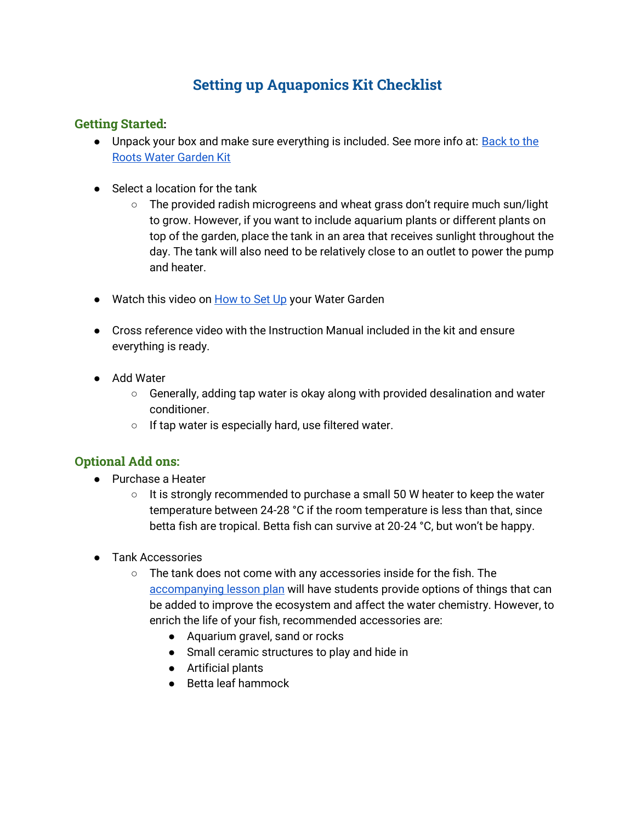## **Setting up Aquaponics Kit Checklist**

## **Getting Started:**

- Unpack your box and make sure everything is included. See more info at: **Back to the** [Roots Water Garden Kit](https://backtotheroots.com/products/watergarden)
- Select a location for the tank
	- The provided radish microgreens and wheat grass don't require much sun/light to grow. However, if you want to include aquarium plants or different plants on top of the garden, place the tank in an area that receives sunlight throughout the day. The tank will also need to be relatively close to an outlet to power the pump and heater.
- Watch this video on [How to Set Up](https://www.youtube.com/watch?v=3c1cbBwiII8) your Water Garden
- Cross reference video with the Instruction Manual included in the kit and ensure everything is ready.
- Add Water
	- Generally, adding tap water is okay along with provided desalination and water conditioner.
	- If tap water is especially hard, use filtered water.

## **Optional Add ons:**

- Purchase a Heater
	- $\circ$  It is strongly recommended to purchase a small 50 W heater to keep the water temperature between 24-28 °C if the room temperature is less than that, since betta fish are tropical. Betta fish can survive at 20-24 °C, but won't be happy.
- Tank Accessories
	- The tank does not come with any accessories inside for the fish. The [accompanying lesson plan](https://docs.google.com/document/d/11NX2pSoLC0J4BQuZEHgt-j3CuezyD63V1lzbveR0sss/edit) will have students provide options of things that can be added to improve the ecosystem and affect the water chemistry. However, to enrich the life of your fish, recommended accessories are:
		- Aquarium gravel, sand or rocks
		- Small ceramic structures to play and hide in
		- Artificial plants
		- Betta leaf hammock